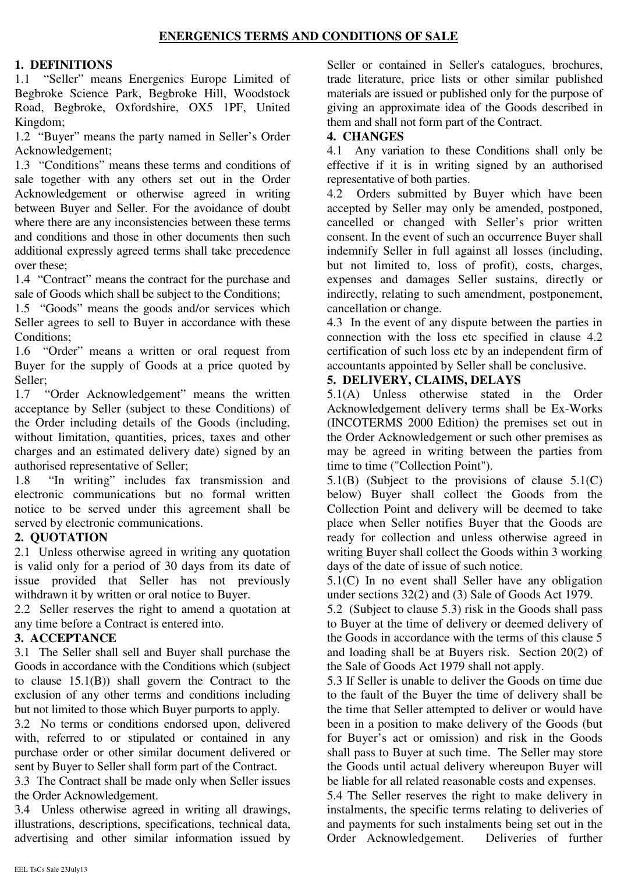### **1. DEFINITIONS**

1.1 "Seller" means Energenics Europe Limited of Begbroke Science Park, Begbroke Hill, Woodstock Road, Begbroke, Oxfordshire, OX5 1PF, United Kingdom;

1.2 "Buyer" means the party named in Seller's Order Acknowledgement;

1.3 "Conditions" means these terms and conditions of sale together with any others set out in the Order Acknowledgement or otherwise agreed in writing between Buyer and Seller. For the avoidance of doubt where there are any inconsistencies between these terms and conditions and those in other documents then such additional expressly agreed terms shall take precedence over these;

1.4 "Contract" means the contract for the purchase and sale of Goods which shall be subject to the Conditions;

1.5 "Goods" means the goods and/or services which Seller agrees to sell to Buyer in accordance with these Conditions;

1.6 "Order" means a written or oral request from Buyer for the supply of Goods at a price quoted by Seller;

1.7 "Order Acknowledgement" means the written acceptance by Seller (subject to these Conditions) of the Order including details of the Goods (including, without limitation, quantities, prices, taxes and other charges and an estimated delivery date) signed by an authorised representative of Seller;

1.8 "In writing" includes fax transmission and electronic communications but no formal written notice to be served under this agreement shall be served by electronic communications.

# **2. QUOTATION**

2.1 Unless otherwise agreed in writing any quotation is valid only for a period of 30 days from its date of issue provided that Seller has not previously withdrawn it by written or oral notice to Buyer.

2.2 Seller reserves the right to amend a quotation at any time before a Contract is entered into.

# **3. ACCEPTANCE**

3.1 The Seller shall sell and Buyer shall purchase the Goods in accordance with the Conditions which (subject to clause 15.1(B)) shall govern the Contract to the exclusion of any other terms and conditions including but not limited to those which Buyer purports to apply.

3.2 No terms or conditions endorsed upon, delivered with, referred to or stipulated or contained in any purchase order or other similar document delivered or sent by Buyer to Seller shall form part of the Contract.

3.3 The Contract shall be made only when Seller issues the Order Acknowledgement.

3.4 Unless otherwise agreed in writing all drawings, illustrations, descriptions, specifications, technical data, advertising and other similar information issued by Seller or contained in Seller's catalogues, brochures, trade literature, price lists or other similar published materials are issued or published only for the purpose of giving an approximate idea of the Goods described in them and shall not form part of the Contract.

### **4. CHANGES**

4.1 Any variation to these Conditions shall only be effective if it is in writing signed by an authorised representative of both parties.

4.2 Orders submitted by Buyer which have been accepted by Seller may only be amended, postponed, cancelled or changed with Seller's prior written consent. In the event of such an occurrence Buyer shall indemnify Seller in full against all losses (including, but not limited to, loss of profit), costs, charges, expenses and damages Seller sustains, directly or indirectly, relating to such amendment, postponement, cancellation or change.

4.3 In the event of any dispute between the parties in connection with the loss etc specified in clause 4.2 certification of such loss etc by an independent firm of accountants appointed by Seller shall be conclusive.

# **5. DELIVERY, CLAIMS, DELAYS**

5.1(A) Unless otherwise stated in the Order Acknowledgement delivery terms shall be Ex-Works (INCOTERMS 2000 Edition) the premises set out in the Order Acknowledgement or such other premises as may be agreed in writing between the parties from time to time ("Collection Point").

5.1(B) (Subject to the provisions of clause 5.1(C) below) Buyer shall collect the Goods from the Collection Point and delivery will be deemed to take place when Seller notifies Buyer that the Goods are ready for collection and unless otherwise agreed in writing Buyer shall collect the Goods within 3 working days of the date of issue of such notice.

5.1(C) In no event shall Seller have any obligation under sections 32(2) and (3) Sale of Goods Act 1979.

5.2 (Subject to clause 5.3) risk in the Goods shall pass to Buyer at the time of delivery or deemed delivery of the Goods in accordance with the terms of this clause 5 and loading shall be at Buyers risk. Section 20(2) of the Sale of Goods Act 1979 shall not apply.

5.3 If Seller is unable to deliver the Goods on time due to the fault of the Buyer the time of delivery shall be the time that Seller attempted to deliver or would have been in a position to make delivery of the Goods (but for Buyer's act or omission) and risk in the Goods shall pass to Buyer at such time. The Seller may store the Goods until actual delivery whereupon Buyer will be liable for all related reasonable costs and expenses.

5.4 The Seller reserves the right to make delivery in instalments, the specific terms relating to deliveries of and payments for such instalments being set out in the Order Acknowledgement. Deliveries of further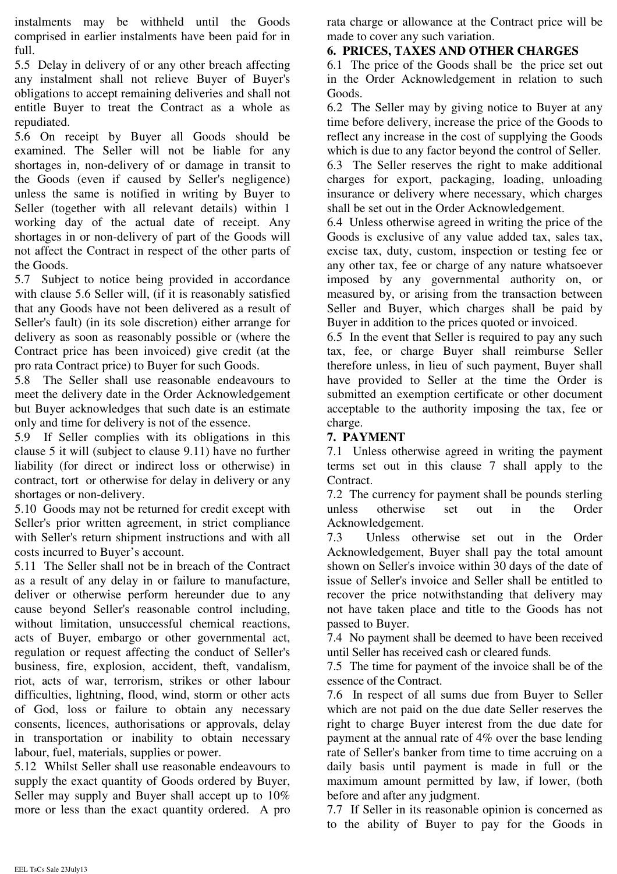instalments may be withheld until the Goods comprised in earlier instalments have been paid for in full.

5.5 Delay in delivery of or any other breach affecting any instalment shall not relieve Buyer of Buyer's obligations to accept remaining deliveries and shall not entitle Buyer to treat the Contract as a whole as repudiated.

5.6 On receipt by Buyer all Goods should be examined. The Seller will not be liable for any shortages in, non-delivery of or damage in transit to the Goods (even if caused by Seller's negligence) unless the same is notified in writing by Buyer to Seller (together with all relevant details) within 1 working day of the actual date of receipt. Any shortages in or non-delivery of part of the Goods will not affect the Contract in respect of the other parts of the Goods.

5.7 Subject to notice being provided in accordance with clause 5.6 Seller will, (if it is reasonably satisfied that any Goods have not been delivered as a result of Seller's fault) (in its sole discretion) either arrange for delivery as soon as reasonably possible or (where the Contract price has been invoiced) give credit (at the pro rata Contract price) to Buyer for such Goods.

5.8 The Seller shall use reasonable endeavours to meet the delivery date in the Order Acknowledgement but Buyer acknowledges that such date is an estimate only and time for delivery is not of the essence.

5.9 If Seller complies with its obligations in this clause 5 it will (subject to clause 9.11) have no further liability (for direct or indirect loss or otherwise) in contract, tort or otherwise for delay in delivery or any shortages or non-delivery.

5.10 Goods may not be returned for credit except with Seller's prior written agreement, in strict compliance with Seller's return shipment instructions and with all costs incurred to Buyer's account.

5.11 The Seller shall not be in breach of the Contract as a result of any delay in or failure to manufacture, deliver or otherwise perform hereunder due to any cause beyond Seller's reasonable control including, without limitation, unsuccessful chemical reactions, acts of Buyer, embargo or other governmental act, regulation or request affecting the conduct of Seller's business, fire, explosion, accident, theft, vandalism, riot, acts of war, terrorism, strikes or other labour difficulties, lightning, flood, wind, storm or other acts of God, loss or failure to obtain any necessary consents, licences, authorisations or approvals, delay in transportation or inability to obtain necessary labour, fuel, materials, supplies or power.

5.12 Whilst Seller shall use reasonable endeavours to supply the exact quantity of Goods ordered by Buyer, Seller may supply and Buyer shall accept up to 10% more or less than the exact quantity ordered. A pro rata charge or allowance at the Contract price will be made to cover any such variation.

### **6. PRICES, TAXES AND OTHER CHARGES**

6.1 The price of the Goods shall be the price set out in the Order Acknowledgement in relation to such Goods.

6.2 The Seller may by giving notice to Buyer at any time before delivery, increase the price of the Goods to reflect any increase in the cost of supplying the Goods which is due to any factor beyond the control of Seller. 6.3 The Seller reserves the right to make additional charges for export, packaging, loading, unloading insurance or delivery where necessary, which charges shall be set out in the Order Acknowledgement.

6.4 Unless otherwise agreed in writing the price of the Goods is exclusive of any value added tax, sales tax, excise tax, duty, custom, inspection or testing fee or any other tax, fee or charge of any nature whatsoever imposed by any governmental authority on, or measured by, or arising from the transaction between Seller and Buyer, which charges shall be paid by Buyer in addition to the prices quoted or invoiced.

6.5 In the event that Seller is required to pay any such tax, fee, or charge Buyer shall reimburse Seller therefore unless, in lieu of such payment, Buyer shall have provided to Seller at the time the Order is submitted an exemption certificate or other document acceptable to the authority imposing the tax, fee or charge.

### **7. PAYMENT**

7.1 Unless otherwise agreed in writing the payment terms set out in this clause 7 shall apply to the Contract.

7.2 The currency for payment shall be pounds sterling unless otherwise set out in the Order Acknowledgement.

7.3 Unless otherwise set out in the Order Acknowledgement, Buyer shall pay the total amount shown on Seller's invoice within 30 days of the date of issue of Seller's invoice and Seller shall be entitled to recover the price notwithstanding that delivery may not have taken place and title to the Goods has not passed to Buyer.

7.4 No payment shall be deemed to have been received until Seller has received cash or cleared funds.

7.5 The time for payment of the invoice shall be of the essence of the Contract.

7.6 In respect of all sums due from Buyer to Seller which are not paid on the due date Seller reserves the right to charge Buyer interest from the due date for payment at the annual rate of 4% over the base lending rate of Seller's banker from time to time accruing on a daily basis until payment is made in full or the maximum amount permitted by law, if lower, (both before and after any judgment.

7.7 If Seller in its reasonable opinion is concerned as to the ability of Buyer to pay for the Goods in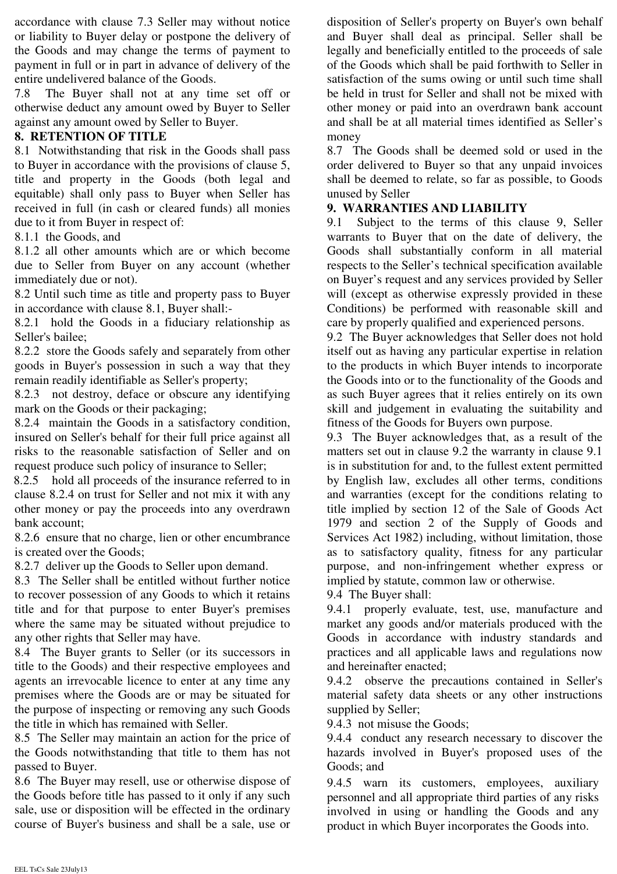accordance with clause 7.3 Seller may without notice or liability to Buyer delay or postpone the delivery of the Goods and may change the terms of payment to payment in full or in part in advance of delivery of the entire undelivered balance of the Goods.

7.8 The Buyer shall not at any time set off or otherwise deduct any amount owed by Buyer to Seller against any amount owed by Seller to Buyer.

### **8. RETENTION OF TITLE**

8.1 Notwithstanding that risk in the Goods shall pass to Buyer in accordance with the provisions of clause 5, title and property in the Goods (both legal and equitable) shall only pass to Buyer when Seller has received in full (in cash or cleared funds) all monies due to it from Buyer in respect of:

8.1.1 the Goods, and

8.1.2 all other amounts which are or which become due to Seller from Buyer on any account (whether immediately due or not).

8.2 Until such time as title and property pass to Buyer in accordance with clause 8.1, Buyer shall:-

8.2.1 hold the Goods in a fiduciary relationship as Seller's bailee;

8.2.2 store the Goods safely and separately from other goods in Buyer's possession in such a way that they remain readily identifiable as Seller's property;

8.2.3 not destroy, deface or obscure any identifying mark on the Goods or their packaging;

8.2.4 maintain the Goods in a satisfactory condition, insured on Seller's behalf for their full price against all risks to the reasonable satisfaction of Seller and on request produce such policy of insurance to Seller;

8.2.5 hold all proceeds of the insurance referred to in clause 8.2.4 on trust for Seller and not mix it with any other money or pay the proceeds into any overdrawn bank account;

8.2.6 ensure that no charge, lien or other encumbrance is created over the Goods;

8.2.7 deliver up the Goods to Seller upon demand.

8.3 The Seller shall be entitled without further notice to recover possession of any Goods to which it retains title and for that purpose to enter Buyer's premises where the same may be situated without prejudice to any other rights that Seller may have.

8.4 The Buyer grants to Seller (or its successors in title to the Goods) and their respective employees and agents an irrevocable licence to enter at any time any premises where the Goods are or may be situated for the purpose of inspecting or removing any such Goods the title in which has remained with Seller.

8.5 The Seller may maintain an action for the price of the Goods notwithstanding that title to them has not passed to Buyer.

8.6 The Buyer may resell, use or otherwise dispose of the Goods before title has passed to it only if any such sale, use or disposition will be effected in the ordinary course of Buyer's business and shall be a sale, use or disposition of Seller's property on Buyer's own behalf and Buyer shall deal as principal. Seller shall be legally and beneficially entitled to the proceeds of sale of the Goods which shall be paid forthwith to Seller in satisfaction of the sums owing or until such time shall be held in trust for Seller and shall not be mixed with other money or paid into an overdrawn bank account and shall be at all material times identified as Seller's money

8.7 The Goods shall be deemed sold or used in the order delivered to Buyer so that any unpaid invoices shall be deemed to relate, so far as possible, to Goods unused by Seller

### **9. WARRANTIES AND LIABILITY**

9.1 Subject to the terms of this clause 9, Seller warrants to Buyer that on the date of delivery, the Goods shall substantially conform in all material respects to the Seller's technical specification available on Buyer's request and any services provided by Seller will (except as otherwise expressly provided in these Conditions) be performed with reasonable skill and care by properly qualified and experienced persons.

9.2 The Buyer acknowledges that Seller does not hold itself out as having any particular expertise in relation to the products in which Buyer intends to incorporate the Goods into or to the functionality of the Goods and as such Buyer agrees that it relies entirely on its own skill and judgement in evaluating the suitability and fitness of the Goods for Buyers own purpose.

9.3 The Buyer acknowledges that, as a result of the matters set out in clause 9.2 the warranty in clause 9.1 is in substitution for and, to the fullest extent permitted by English law, excludes all other terms, conditions and warranties (except for the conditions relating to title implied by section 12 of the Sale of Goods Act 1979 and section 2 of the Supply of Goods and Services Act 1982) including, without limitation, those as to satisfactory quality, fitness for any particular purpose, and non-infringement whether express or implied by statute, common law or otherwise.

9.4 The Buyer shall:

9.4.1 properly evaluate, test, use, manufacture and market any goods and/or materials produced with the Goods in accordance with industry standards and practices and all applicable laws and regulations now and hereinafter enacted;

9.4.2 observe the precautions contained in Seller's material safety data sheets or any other instructions supplied by Seller;

9.4.3 not misuse the Goods;

9.4.4 conduct any research necessary to discover the hazards involved in Buyer's proposed uses of the Goods; and

9.4.5 warn its customers, employees, auxiliary personnel and all appropriate third parties of any risks involved in using or handling the Goods and any product in which Buyer incorporates the Goods into.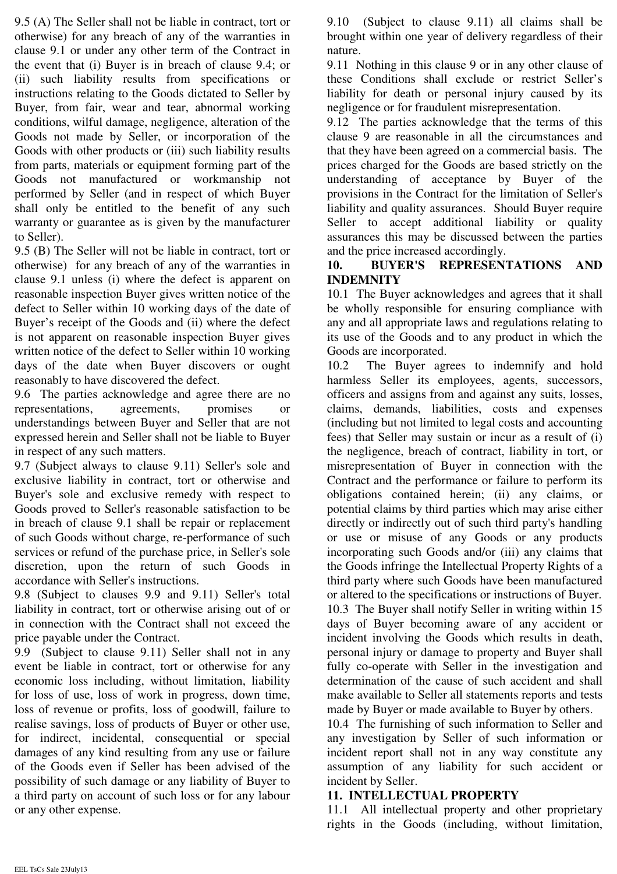9.5 (A) The Seller shall not be liable in contract, tort or otherwise) for any breach of any of the warranties in clause 9.1 or under any other term of the Contract in the event that (i) Buyer is in breach of clause 9.4; or (ii) such liability results from specifications or instructions relating to the Goods dictated to Seller by Buyer, from fair, wear and tear, abnormal working conditions, wilful damage, negligence, alteration of the Goods not made by Seller, or incorporation of the Goods with other products or (iii) such liability results from parts, materials or equipment forming part of the Goods not manufactured or workmanship not performed by Seller (and in respect of which Buyer shall only be entitled to the benefit of any such warranty or guarantee as is given by the manufacturer to Seller).

9.5 (B) The Seller will not be liable in contract, tort or otherwise) for any breach of any of the warranties in clause 9.1 unless (i) where the defect is apparent on reasonable inspection Buyer gives written notice of the defect to Seller within 10 working days of the date of Buyer's receipt of the Goods and (ii) where the defect is not apparent on reasonable inspection Buyer gives written notice of the defect to Seller within 10 working days of the date when Buyer discovers or ought reasonably to have discovered the defect.

9.6 The parties acknowledge and agree there are no representations, agreements, promises or understandings between Buyer and Seller that are not expressed herein and Seller shall not be liable to Buyer in respect of any such matters.

9.7 (Subject always to clause 9.11) Seller's sole and exclusive liability in contract, tort or otherwise and Buyer's sole and exclusive remedy with respect to Goods proved to Seller's reasonable satisfaction to be in breach of clause 9.1 shall be repair or replacement of such Goods without charge, re-performance of such services or refund of the purchase price, in Seller's sole discretion, upon the return of such Goods in accordance with Seller's instructions.

9.8 (Subject to clauses 9.9 and 9.11) Seller's total liability in contract, tort or otherwise arising out of or in connection with the Contract shall not exceed the price payable under the Contract.

9.9 (Subject to clause 9.11) Seller shall not in any event be liable in contract, tort or otherwise for any economic loss including, without limitation, liability for loss of use, loss of work in progress, down time, loss of revenue or profits, loss of goodwill, failure to realise savings, loss of products of Buyer or other use, for indirect, incidental, consequential or special damages of any kind resulting from any use or failure of the Goods even if Seller has been advised of the possibility of such damage or any liability of Buyer to a third party on account of such loss or for any labour or any other expense.

9.10 (Subject to clause 9.11) all claims shall be brought within one year of delivery regardless of their nature.

9.11 Nothing in this clause 9 or in any other clause of these Conditions shall exclude or restrict Seller's liability for death or personal injury caused by its negligence or for fraudulent misrepresentation.

9.12 The parties acknowledge that the terms of this clause 9 are reasonable in all the circumstances and that they have been agreed on a commercial basis. The prices charged for the Goods are based strictly on the understanding of acceptance by Buyer of the provisions in the Contract for the limitation of Seller's liability and quality assurances. Should Buyer require Seller to accept additional liability or quality assurances this may be discussed between the parties and the price increased accordingly.

## **10. BUYER'S REPRESENTATIONS AND INDEMNITY**

10.1 The Buyer acknowledges and agrees that it shall be wholly responsible for ensuring compliance with any and all appropriate laws and regulations relating to its use of the Goods and to any product in which the Goods are incorporated.

10.2 The Buyer agrees to indemnify and hold harmless Seller its employees, agents, successors, officers and assigns from and against any suits, losses, claims, demands, liabilities, costs and expenses (including but not limited to legal costs and accounting fees) that Seller may sustain or incur as a result of (i) the negligence, breach of contract, liability in tort, or misrepresentation of Buyer in connection with the Contract and the performance or failure to perform its obligations contained herein; (ii) any claims, or potential claims by third parties which may arise either directly or indirectly out of such third party's handling or use or misuse of any Goods or any products incorporating such Goods and/or (iii) any claims that the Goods infringe the Intellectual Property Rights of a third party where such Goods have been manufactured or altered to the specifications or instructions of Buyer. 10.3 The Buyer shall notify Seller in writing within 15 days of Buyer becoming aware of any accident or incident involving the Goods which results in death, personal injury or damage to property and Buyer shall fully co-operate with Seller in the investigation and determination of the cause of such accident and shall make available to Seller all statements reports and tests made by Buyer or made available to Buyer by others.

10.4 The furnishing of such information to Seller and any investigation by Seller of such information or incident report shall not in any way constitute any assumption of any liability for such accident or incident by Seller.

# **11. INTELLECTUAL PROPERTY**

11.1 All intellectual property and other proprietary rights in the Goods (including, without limitation,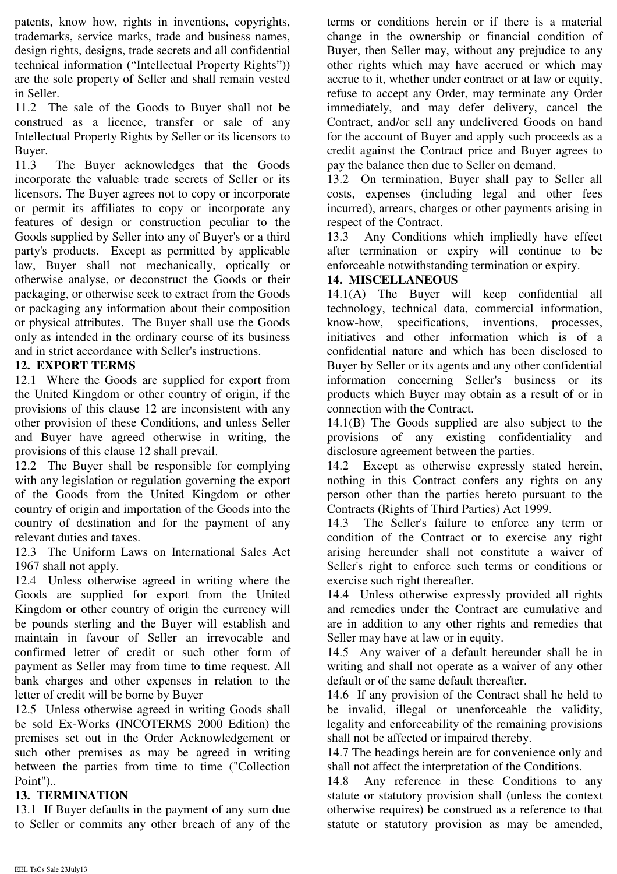patents, know how, rights in inventions, copyrights, trademarks, service marks, trade and business names, design rights, designs, trade secrets and all confidential technical information ("Intellectual Property Rights")) are the sole property of Seller and shall remain vested in Seller.

11.2 The sale of the Goods to Buyer shall not be construed as a licence, transfer or sale of any Intellectual Property Rights by Seller or its licensors to Buyer.

11.3 The Buyer acknowledges that the Goods incorporate the valuable trade secrets of Seller or its licensors. The Buyer agrees not to copy or incorporate or permit its affiliates to copy or incorporate any features of design or construction peculiar to the Goods supplied by Seller into any of Buyer's or a third party's products. Except as permitted by applicable law, Buyer shall not mechanically, optically or otherwise analyse, or deconstruct the Goods or their packaging, or otherwise seek to extract from the Goods or packaging any information about their composition or physical attributes. The Buyer shall use the Goods only as intended in the ordinary course of its business and in strict accordance with Seller's instructions.

### **12. EXPORT TERMS**

12.1 Where the Goods are supplied for export from the United Kingdom or other country of origin, if the provisions of this clause 12 are inconsistent with any other provision of these Conditions, and unless Seller and Buyer have agreed otherwise in writing, the provisions of this clause 12 shall prevail.

12.2 The Buyer shall be responsible for complying with any legislation or regulation governing the export of the Goods from the United Kingdom or other country of origin and importation of the Goods into the country of destination and for the payment of any relevant duties and taxes.

12.3 The Uniform Laws on International Sales Act 1967 shall not apply.

12.4 Unless otherwise agreed in writing where the Goods are supplied for export from the United Kingdom or other country of origin the currency will be pounds sterling and the Buyer will establish and maintain in favour of Seller an irrevocable and confirmed letter of credit or such other form of payment as Seller may from time to time request. All bank charges and other expenses in relation to the letter of credit will be borne by Buyer

12.5 Unless otherwise agreed in writing Goods shall be sold Ex-Works (INCOTERMS 2000 Edition) the premises set out in the Order Acknowledgement or such other premises as may be agreed in writing between the parties from time to time ("Collection Point")..

#### **13. TERMINATION**

13.1 If Buyer defaults in the payment of any sum due to Seller or commits any other breach of any of the terms or conditions herein or if there is a material change in the ownership or financial condition of Buyer, then Seller may, without any prejudice to any other rights which may have accrued or which may accrue to it, whether under contract or at law or equity, refuse to accept any Order, may terminate any Order immediately, and may defer delivery, cancel the Contract, and/or sell any undelivered Goods on hand for the account of Buyer and apply such proceeds as a credit against the Contract price and Buyer agrees to pay the balance then due to Seller on demand.

13.2 On termination, Buyer shall pay to Seller all costs, expenses (including legal and other fees incurred), arrears, charges or other payments arising in respect of the Contract.

13.3 Any Conditions which impliedly have effect after termination or expiry will continue to be enforceable notwithstanding termination or expiry.

#### **14. MISCELLANEOUS**

14.1(A) The Buyer will keep confidential all technology, technical data, commercial information, know-how, specifications, inventions, processes, initiatives and other information which is of a confidential nature and which has been disclosed to Buyer by Seller or its agents and any other confidential information concerning Seller's business or its products which Buyer may obtain as a result of or in connection with the Contract.

14.1(B) The Goods supplied are also subject to the provisions of any existing confidentiality and disclosure agreement between the parties.

14.2 Except as otherwise expressly stated herein, nothing in this Contract confers any rights on any person other than the parties hereto pursuant to the Contracts (Rights of Third Parties) Act 1999.

14.3 The Seller's failure to enforce any term or condition of the Contract or to exercise any right arising hereunder shall not constitute a waiver of Seller's right to enforce such terms or conditions or exercise such right thereafter.

14.4 Unless otherwise expressly provided all rights and remedies under the Contract are cumulative and are in addition to any other rights and remedies that Seller may have at law or in equity.

14.5 Any waiver of a default hereunder shall be in writing and shall not operate as a waiver of any other default or of the same default thereafter.

14.6 If any provision of the Contract shall he held to be invalid, illegal or unenforceable the validity, legality and enforceability of the remaining provisions shall not be affected or impaired thereby.

14.7 The headings herein are for convenience only and shall not affect the interpretation of the Conditions.

14.8 Any reference in these Conditions to any statute or statutory provision shall (unless the context otherwise requires) be construed as a reference to that statute or statutory provision as may be amended,